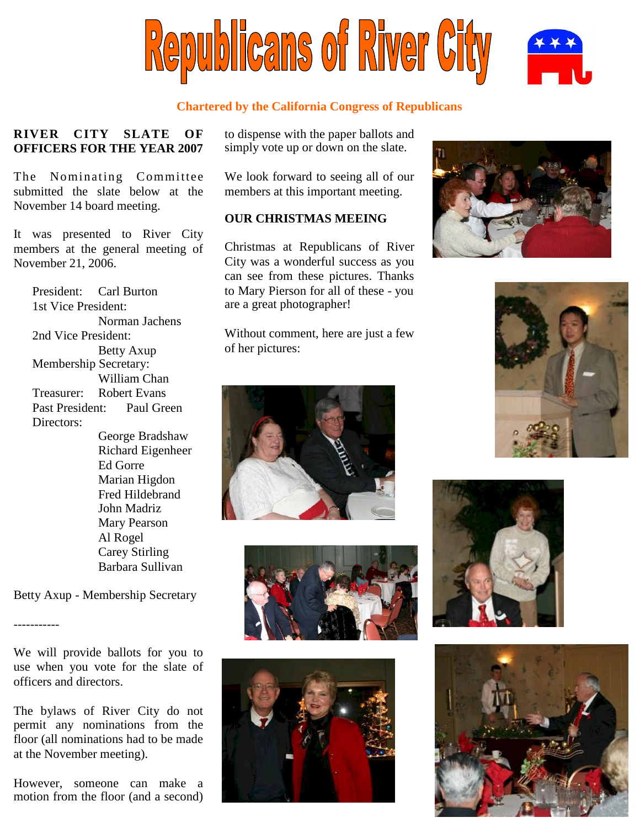

## **Chartered by the California Congress of Republicans**

## **RIVER CITY SLATE OF OFFICERS FOR THE YEAR 2007**

The Nominating Committee submitted the slate below at the November 14 board meeting.

It was presented to River City members at the general meeting of November 21, 2006.

President: Carl Burton 1st Vice President: Norman Jachens 2nd Vice President: Betty Axup Membership Secretary: William Chan Treasurer: Robert Evans Past President: Paul Green Directors: George Bradshaw Richard Eigenheer Ed Gorre Marian Higdon Fred Hildebrand John Madriz Mary Pearson Al Rogel Carey Stirling

Betty Axup - Membership Secretary

Barbara Sullivan

-----------

We will provide ballots for you to use when you vote for the slate of officers and directors.

The bylaws of River City do not permit any nominations from the floor (all nominations had to be made at the November meeting).

However, someone can make a motion from the floor (and a second) to dispense with the paper ballots and simply vote up or down on the slate.

We look forward to seeing all of our members at this important meeting.

## **OUR CHRISTMAS MEEING**

Christmas at Republicans of River City was a wonderful success as you can see from these pictures. Thanks to Mary Pierson for all of these - you are a great photographer!

Without comment, here are just a few of her pictures:













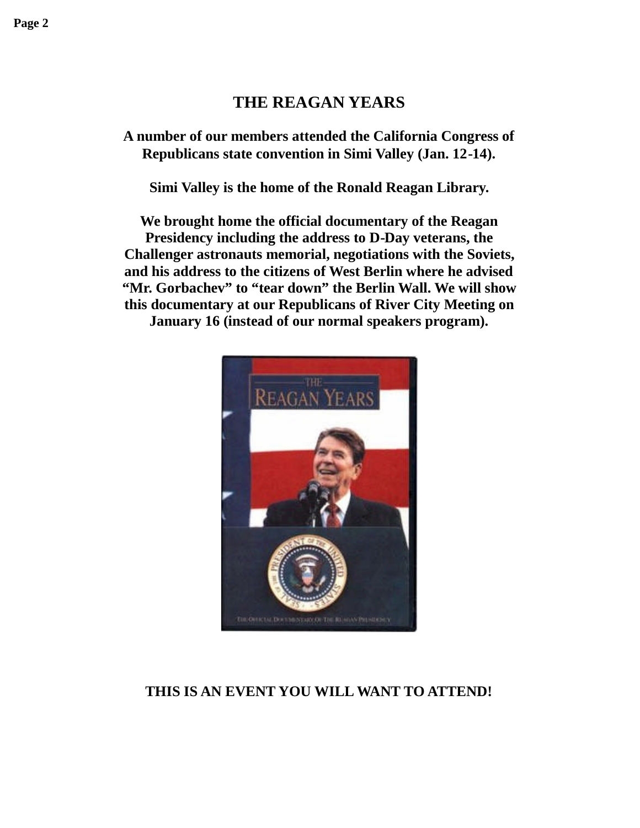# **THE REAGAN YEARS**

**A number of our members attended the California Congress of Republicans state convention in Simi Valley (Jan. 12-14).**

**Simi Valley is the home of the Ronald Reagan Library.**

**We brought home the official documentary of the Reagan Presidency including the address to D-Day veterans, the Challenger astronauts memorial, negotiations with the Soviets, and his address to the citizens of West Berlin where he advised "Mr. Gorbachev" to "tear down" the Berlin Wall. We will show this documentary at our Republicans of River City Meeting on January 16 (instead of our normal speakers program).**



## **THIS IS AN EVENT YOU WILL WANT TO ATTEND!**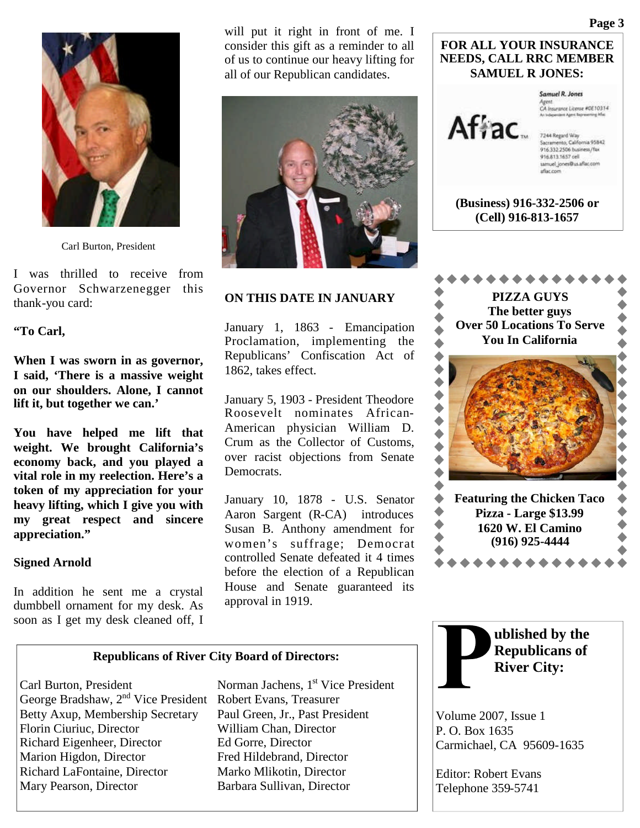

Carl Burton, President

I was thrilled to receive from Governor Schwarzenegger this thank-you card:

### **"To Carl,**

**When I was sworn in as governor, I said, 'There is a massive weight on our shoulders. Alone, I cannot lift it, but together we can.'**

**You have helped me lift that weight. We brought California's economy back, and you played a vital role in my reelection. Here's a token of my appreciation for your heavy lifting, which I give you with my great respect and sincere appreciation."**

### **Signed Arnold**

In addition he sent me a crystal dumbbell ornament for my desk. As soon as I get my desk cleaned off, I

will put it right in front of me. I consider this gift as a reminder to all of us to continue our heavy lifting for all of our Republican candidates.



### **ON THIS DATE IN JANUARY**

January 1, 1863 - Emancipation Proclamation, implementing the Republicans' Confiscation Act of 1862, takes effect.

January 5, 1903 - President Theodore Roosevelt nominates African-American physician William D. Crum as the Collector of Customs, over racist objections from Senate Democrats.

January 10, 1878 - U.S. Senator Aaron Sargent (R-CA) introduces Susan B. Anthony amendment for women's suffrage; Democrat controlled Senate defeated it 4 times before the election of a Republican House and Senate guaranteed its approval in 1919.



7244 Regard Way<br>Sacramento, California 95842<br>916.332.2506 business/fax 916.813.1657 cell samuel\_jones@us.aflac.com

Samuel R. Jones Agent.<br>CA Insurance Literae #0E10314

aflac.com

**(Business) 916-332-2506 or (Cell) 916-813-1657**

**FOR ALL YOUR INSURANCE NEEDS, CALL RRC MEMBER SAMUEL R JONES:**





Carl Burton, President Norman Jachens, 1<sup>st</sup> Vice President George Bradshaw, 2nd Vice President Robert Evans, Treasurer Betty Axup, Membership Secretary Paul Green, Jr., Past President Florin Ciuriuc, Director William Chan, Director Richard Eigenheer, Director Ed Gorre, Director Marion Higdon, Director Fred Hildebrand, Director Richard LaFontaine, Director Marko Mlikotin, Director Mary Pearson, Director Barbara Sullivan, Director



Volume 2007, Issue 1 P. O. Box 1635 Carmichael, CA 95609-1635

Editor: Robert Evans Telephone 359-5741